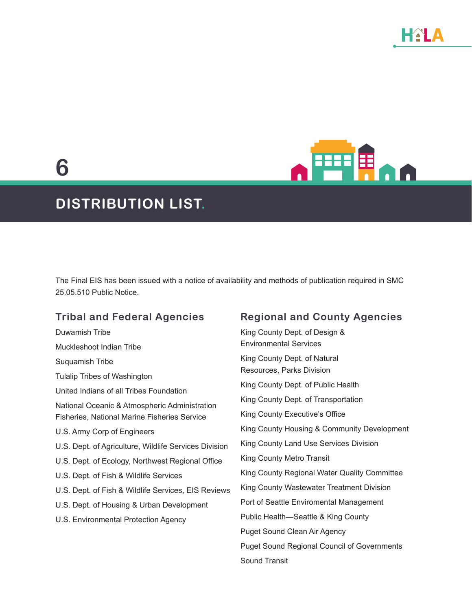**6**



# **DISTRIBUTION LIST.**

The Final EIS has been issued with a notice of availability and methods of publication required in SMC 25.05.510 Public Notice.

# **Tribal and Federal Agencies**

| Duwamish Tribe                                        | Kin |
|-------------------------------------------------------|-----|
| Muckleshoot Indian Tribe                              | En  |
| Suquamish Tribe                                       | Kin |
| <b>Tulalip Tribes of Washington</b>                   | Re: |
| United Indians of all Tribes Foundation               | Kin |
| National Oceanic & Atmospheric Administration         | Kin |
| Fisheries, National Marine Fisheries Service          | Kin |
| U.S. Army Corp of Engineers                           | Kin |
| U.S. Dept. of Agriculture, Wildlife Services Division | Kin |
| U.S. Dept. of Ecology, Northwest Regional Office      | Kin |
| U.S. Dept. of Fish & Wildlife Services                | Kin |
| U.S. Dept. of Fish & Wildlife Services, EIS Reviews   | Kin |
| U.S. Dept. of Housing & Urban Development             | Po  |
| U.S. Environmental Protection Agency                  | Pul |
|                                                       | Pu  |
|                                                       | Pu  |
|                                                       | c., |

# **Regional and County Agencies**

g County Dept. of Design & vironmental Services g County Dept. of Natural sources, Parks Division g County Dept. of Public Health g County Dept. of Transportation g County Executive's Office g County Housing & Community Development g County Land Use Services Division g County Metro Transit Ig County Regional Water Quality Committee g County Wastewater Treatment Division rt of Seattle Enviromental Management blic Health—Seattle & King County get Sound Clean Air Agency get Sound Regional Council of Governments Sound Transit